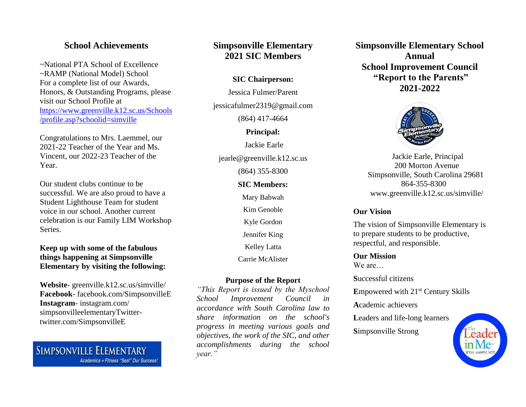## **School Achievements**

~National PTA School of Excellence ~RAMP (National Model) School For a complete list of our Awards, Honors, & Outstanding Programs, please visit our School Profile at [https://www.greenville.k12.sc.us/Schools](https://www.greenville.k12.sc.us/Schools/profile.asp?schoolid=simville) [/profile.asp?schoolid=simville](https://www.greenville.k12.sc.us/Schools/profile.asp?schoolid=simville)

Congratulations to Mrs. Laemmel, our 2021-22 Teacher of the Year and Ms. Vincent, our 2022-23 Teacher of the Year.

Our student clubs continue to be successful. We are also proud to have a Student Lighthouse Team for student voice in our school. Another current celebration is our Family LIM Workshop Series.

#### **Keep up with some of the fabulous things happening at Simpsonville Elementary by visiting the following:**

**Website**- [greenville.k12.sc.us/simville/](http://www.greenville.k12.sc.us/simville/) **Facebook**- facebook.com/SimpsonvilleE **Instagram**- instagram.com/ simpsonvilleelementaryTwittertwitter.com/SimpsonvilleE

**SIMPSONVILLE ELEMENTARY** Academics + Fitness "Seal" Our Success!

# **Simpsonville Elementary 2021 SIC Members**

#### **SIC Chairperson:**

Jessica Fulmer/Parent

jessicafulmer2319@gmail.com

(864) 417-4664

## **Principal:**

Jackie Earle jearle@greenville.k12.sc.us

(864) 355-8300

## **SIC Members:**

Mary Babwah

Kim Genoble

Kyle Gordon

Jennifer King

Kelley Latta

Carrie McAlister

## **Purpose of the Report**

*"This Report is issued by the Myschool School Improvement Council in accordance with South Carolina law to share information on the school's progress in meeting various goals and objectives, the work of the SIC, and other accomplishments during the school year."*

**Simpsonville Elementary School Annual School Improvement Council "Report to the Parents" 2021-2022**



 Jackie Earle, Principal 200 Morton Avenue Simpsonville, South Carolina 29681 864-355-8300 www.greenville.k12.sc.us/simville/

#### **Our Vision**

The vision of Simpsonville Elementary is to prepare students to be productive, respectful, and responsible.

**Our Mission**  We are…

**S**uccessful citizens

**E**mpowered with 21<sup>st</sup> Century Skills

**A**cademic achievers

**L**eaders and life-long learners

**S**impsonville Strong